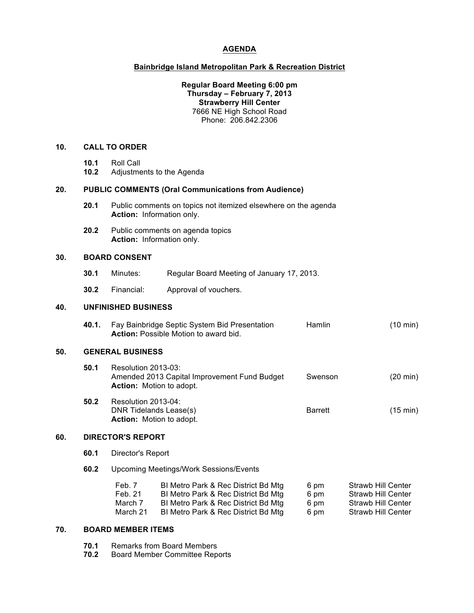## **AGENDA**

# **Bainbridge Island Metropolitan Park & Recreation District**

### **Regular Board Meeting 6:00 pm Thursday – February 7, 2013 Strawberry Hill Center** 7666 NE High School Road Phone: 206.842.2306

# **10. CALL TO ORDER**

- **10.1** Roll Call
- **10.2** Adjustments to the Agenda

#### **20. PUBLIC COMMENTS (Oral Communications from Audience)**

- **20.1** Public comments on topics not itemized elsewhere on the agenda **Action:** Information only.
- **20.2** Public comments on agenda topics **Action:** Information only.

### **30. BOARD CONSENT**

- **30.1** Minutes: Regular Board Meeting of January 17, 2013.
- **30.2** Financial: Approval of vouchers.

# **40. UNFINISHED BUSINESS**

| 40.1. | Fay Bainbridge Septic System Bid Presentation | <b>Hamlin</b> | $(10 \text{ min})$ |
|-------|-----------------------------------------------|---------------|--------------------|
|       | <b>Action:</b> Possible Motion to award bid.  |               |                    |

### **50. GENERAL BUSINESS**

| 50.1     | Resolution 2013-03:<br>Amended 2013 Capital Improvement Fund Budget<br><b>Action:</b> Motion to adopt. | Swenson | $(20 \text{ min})$ |
|----------|--------------------------------------------------------------------------------------------------------|---------|--------------------|
| <u>.</u> | $D = -1.41 - 00400$                                                                                    |         |                    |

**50.2** Resolution 2013-04: DNR Tidelands Lease(s) Barrett (15 min) **Action:** Motion to adopt.

### **60. DIRECTOR'S REPORT**

- **60.1** Director's Report
- **60.2** Upcoming Meetings/Work Sessions/Events

| Feb. 7   | BI Metro Park & Rec District Bd Mtg | 6 pm | Strawb Hill Center |
|----------|-------------------------------------|------|--------------------|
| Feb. 21  | BI Metro Park & Rec District Bd Mtg | 6 pm | Strawb Hill Center |
| March 7  | BI Metro Park & Rec District Bd Mtg | 6 pm | Strawb Hill Center |
| March 21 | BI Metro Park & Rec District Bd Mtg | 6 pm | Strawb Hill Center |

#### **70. BOARD MEMBER ITEMS**

**70.1** Remarks from Board Members<br>**70.2** Board Member Committee Rep

**70.2** Board Member Committee Reports